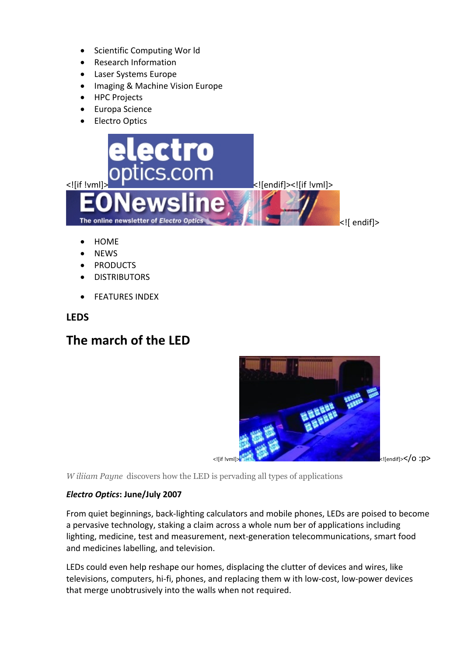- Scientific Computing Wor Id
- Research Information
- Laser Systems Europe
- Imaging & Machine Vision Europe
- HPC Projects
- Europa Science
- Electro Optics



- HOME
- NEWS
- PRODUCTS
- DISTRIBUTORS
- **•** FEATURES INDEX

#### **LEDS**

# **The march of the LED**



*W iliiam Payne* discovers how the LED is pervading all types of applications

#### *Electro Optics***: June/July 2007**

From quiet beginnings, back-lighting calculators and mobile phones, LEDs are poised to become a pervasive technology, staking a claim across a whole num ber of applications including lighting, medicine, test and measurement, next-generation telecommunications, smart food and medicines labelling, and television.

LEDs could even help reshape our homes, displacing the clutter of devices and wires, like televisions, computers, hi-fi, phones, and replacing them w ith low-cost, low-power devices that merge unobtrusively into the walls when not required.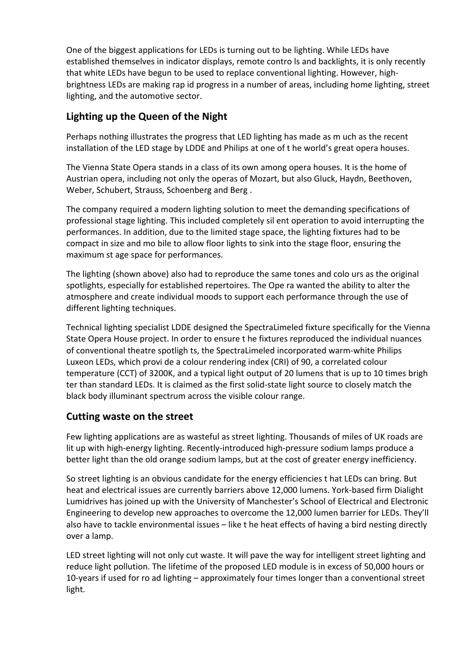One of the biggest applications for LEDs is turning out to be lighting. While LEDs have established themselves in indicator displays, remote contro ls and backlights, it is only recently that white LEDs have begun to be used to replace conventional lighting. However, highbrightness LEDs are making rap id progress in a number of areas, including home lighting, street lighting, and the automotive sector.

# **Lighting up the Queen of the Night**

Perhaps nothing illustrates the progress that LED lighting has made as m uch as the recent installation of the LED stage by LDDE and Philips at one of t he world's great opera houses.

The Vienna State Opera stands in a class of its own among opera houses. It is the home of Austrian opera, including not only the operas of Mozart, but also Gluck, Haydn, Beethoven, Weber, Schubert, Strauss, Schoenberg and Berg .

The company required a modern lighting solution to meet the demanding specifications of professional stage lighting. This included completely sil ent operation to avoid interrupting the performances. In addition, due to the limited stage space, the lighting fixtures had to be compact in size and mo bile to allow floor lights to sink into the stage floor, ensuring the maximum st age space for performances.

The lighting (shown above) also had to reproduce the same tones and colo urs as the original spotlights, especially for established repertoires. The Ope ra wanted the ability to alter the atmosphere and create individual moods to support each performance through the use of different lighting techniques.

Technical lighting specialist LDDE designed the SpectraLimeled fixture specifically for the Vienna State Opera House project. In order to ensure t he fixtures reproduced the individual nuances of conventional theatre spotligh ts, the SpectraLimeled incorporated warm-white Philips Luxeon LEDs, which provi de a colour rendering index (CRI) of 90, a correlated colour temperature (CCT) of 3200K, and a typical light output of 20 lumens that is up to 10 times brigh ter than standard LEDs. It is claimed as the first solid-state light source to closely match the black body illuminant spectrum across the visible colour range.

### **Cutting waste on the street**

Few lighting applications are as wasteful as street lighting. Thousands of miles of UK roads are lit up with high-energy lighting. Recently-introduced high-pressure sodium lamps produce a better light than the old orange sodium lamps, but at the cost of greater energy inefficiency.

So street lighting is an obvious candidate for the energy efficiencies t hat LEDs can bring. But heat and electrical issues are currently barriers above 12,000 lumens. York-based firm Dialight Lumidrives has joined up with the University of Manchester's School of Electrical and Electronic Engineering to develop new approaches to overcome the 12,000 lumen barrier for LEDs. They'll also have to tackle environmental issues – like t he heat effects of having a bird nesting directly over a lamp.

LED street lighting will not only cut waste. It will pave the way for intelligent street lighting and reduce light pollution. The lifetime of the proposed LED module is in excess of 50,000 hours or 10-years if used for ro ad lighting – approximately four times longer than a conventional street light.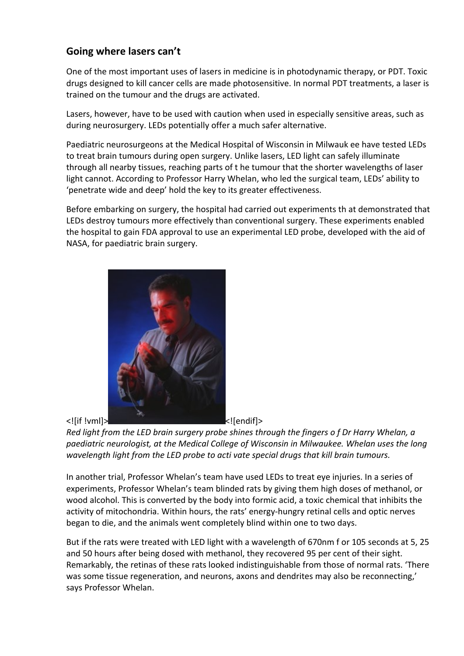## **Going where lasers can't**

One of the most important uses of lasers in medicine is in photodynamic therapy, or PDT. Toxic drugs designed to kill cancer cells are made photosensitive. In normal PDT treatments, a laser is trained on the tumour and the drugs are activated.

Lasers, however, have to be used with caution when used in especially sensitive areas, such as during neurosurgery. LEDs potentially offer a much safer alternative.

Paediatric neurosurgeons at the Medical Hospital of Wisconsin in Milwauk ee have tested LEDs to treat brain tumours during open surgery. Unlike lasers, LED light can safely illuminate through all nearby tissues, reaching parts of t he tumour that the shorter wavelengths of laser light cannot. According to Professor Harry Whelan, who led the surgical team, LEDs' ability to 'penetrate wide and deep' hold the key to its greater effectiveness.

Before embarking on surgery, the hospital had carried out experiments th at demonstrated that LEDs destroy tumours more effectively than conventional surgery. These experiments enabled the hospital to gain FDA approval to use an experimental LED probe, developed with the aid of NASA, for paediatric brain surgery.



*Red light from the LED brain surgery probe shines through the fingers o f Dr Harry Whelan, a paediatric neurologist, at the Medical College of Wisconsin in Milwaukee. Whelan uses the long wavelength light from the LED probe to acti vate special drugs that kill brain tumours.*

In another trial, Professor Whelan's team have used LEDs to treat eye injuries. In a series of experiments, Professor Whelan's team blinded rats by giving them high doses of methanol, or wood alcohol. This is converted by the body into formic acid, a toxic chemical that inhibits the activity of mitochondria. Within hours, the rats' energy-hungry retinal cells and optic nerves began to die, and the animals went completely blind within one to two days.

But if the rats were treated with LED light with a wavelength of 670nm f or 105 seconds at 5, 25 and 50 hours after being dosed with methanol, they recovered 95 per cent of their sight. Remarkably, the retinas of these rats looked indistinguishable from those of normal rats. 'There was some tissue regeneration, and neurons, axons and dendrites may also be reconnecting,' says Professor Whelan.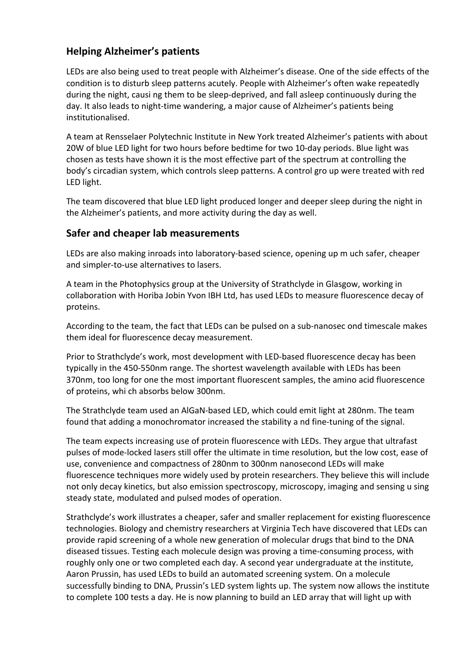# **Helping Alzheimer's patients**

LEDs are also being used to treat people with Alzheimer's disease. One of the side effects of the condition is to disturb sleep patterns acutely. People with Alzheimer's often wake repeatedly during the night, causi ng them to be sleep-deprived, and fall asleep continuously during the day. It also leads to night-time wandering, a major cause of Alzheimer's patients being institutionalised.

A team at Rensselaer Polytechnic Institute in New York treated Alzheimer's patients with about 20W of blue LED light for two hours before bedtime for two 10-day periods. Blue light was chosen as tests have shown it is the most effective part of the spectrum at controlling the body's circadian system, which controls sleep patterns. A control gro up were treated with red LED light.

The team discovered that blue LED light produced longer and deeper sleep during the night in the Alzheimer's patients, and more activity during the day as well.

### **Safer and cheaper lab measurements**

LEDs are also making inroads into laboratory-based science, opening up m uch safer, cheaper and simpler-to-use alternatives to lasers.

A team in the Photophysics group at the University of Strathclyde in Glasgow, working in collaboration with Horiba Jobin Yvon IBH Ltd, has used LEDs to measure fluorescence decay of proteins.

According to the team, the fact that LEDs can be pulsed on a sub-nanosec ond timescale makes them ideal for fluorescence decay measurement.

Prior to Strathclyde's work, most development with LED-based fluorescence decay has been typically in the 450-550nm range. The shortest wavelength available with LEDs has been 370nm, too long for one the most important fluorescent samples, the amino acid fluorescence of proteins, whi ch absorbs below 300nm.

The Strathclyde team used an AlGaN-based LED, which could emit light at 280nm. The team found that adding a monochromator increased the stability a nd fine-tuning of the signal.

The team expects increasing use of protein fluorescence with LEDs. They argue that ultrafast pulses of mode-locked lasers still offer the ultimate in time resolution, but the low cost, ease of use, convenience and compactness of 280nm to 300nm nanosecond LEDs will make fluorescence techniques more widely used by protein researchers. They believe this will include not only decay kinetics, but also emission spectroscopy, microscopy, imaging and sensing u sing steady state, modulated and pulsed modes of operation.

Strathclyde's work illustrates a cheaper, safer and smaller replacement for existing fluorescence technologies. Biology and chemistry researchers at Virginia Tech have discovered that LEDs can provide rapid screening of a whole new generation of molecular drugs that bind to the DNA diseased tissues. Testing each molecule design was proving a time-consuming process, with roughly only one or two completed each day. A second year undergraduate at the institute, Aaron Prussin, has used LEDs to build an automated screening system. On a molecule successfully binding to DNA, Prussin's LED system lights up. The system now allows the institute to complete 100 tests a day. He is now planning to build an LED array that will light up with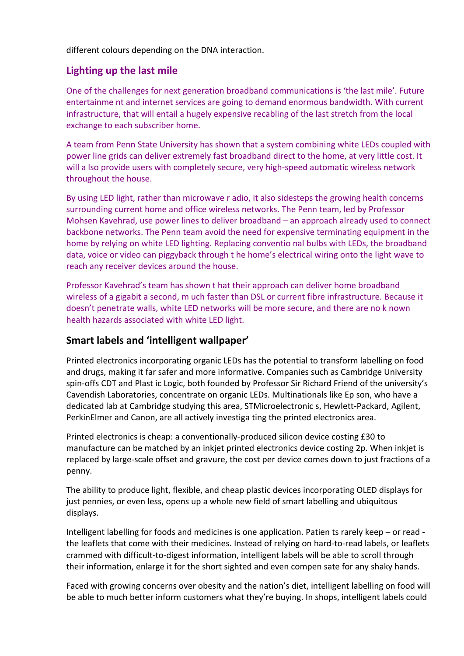different colours depending on the DNA interaction.

### **Lighting up the last mile**

One of the challenges for next generation broadband communications is 'the last mile'. Future entertainme nt and internet services are going to demand enormous bandwidth. With current infrastructure, that will entail a hugely expensive recabling of the last stretch from the local exchange to each subscriber home.

A team from Penn State University has shown that a system combining white LEDs coupled with power line grids can deliver extremely fast broadband direct to the home, at very little cost. It will a lso provide users with completely secure, very high-speed automatic wireless network throughout the house.

By using LED light, rather than microwave r adio, it also sidesteps the growing health concerns surrounding current home and office wireless networks. The Penn team, led by Professor Mohsen Kavehrad, use power lines to deliver broadband – an approach already used to connect backbone networks. The Penn team avoid the need for expensive terminating equipment in the home by relying on white LED lighting. Replacing conventio nal bulbs with LEDs, the broadband data, voice or video can piggyback through t he home's electrical wiring onto the light wave to reach any receiver devices around the house.

Professor Kavehrad's team has shown t hat their approach can deliver home broadband wireless of a gigabit a second, m uch faster than DSL or current fibre infrastructure. Because it doesn't penetrate walls, white LED networks will be more secure, and there are no k nown health hazards associated with white LED light.

### **Smart labels and 'intelligent wallpaper'**

Printed electronics incorporating organic LEDs has the potential to transform labelling on food and drugs, making it far safer and more informative. Companies such as Cambridge University spin-offs CDT and Plast ic Logic, both founded by Professor Sir Richard Friend of the university's Cavendish Laboratories, concentrate on organic LEDs. Multinationals like Ep son, who have a dedicated lab at Cambridge studying this area, STMicroelectronic s, Hewlett-Packard, Agilent, PerkinElmer and Canon, are all actively investiga ting the printed electronics area.

Printed electronics is cheap: a conventionally-produced silicon device costing £30 to manufacture can be matched by an inkjet printed electronics device costing 2p. When inkjet is replaced by large-scale offset and gravure, the cost per device comes down to just fractions of a penny.

The ability to produce light, flexible, and cheap plastic devices incorporating OLED displays for just pennies, or even less, opens up a whole new field of smart labelling and ubiquitous displays.

Intelligent labelling for foods and medicines is one application. Patien ts rarely keep – or read the leaflets that come with their medicines. Instead of relying on hard-to-read labels, or leaflets crammed with difficult-to-digest information, intelligent labels will be able to scroll through their information, enlarge it for the short sighted and even compen sate for any shaky hands.

Faced with growing concerns over obesity and the nation's diet, intelligent labelling on food will be able to much better inform customers what they're buying. In shops, intelligent labels could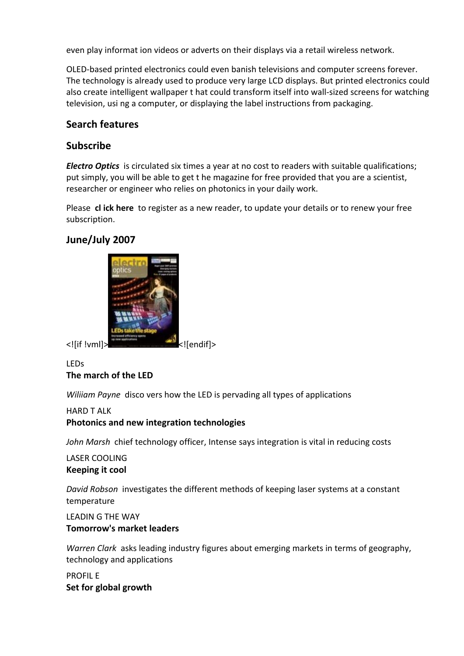even play informat ion videos or adverts on their displays via a retail wireless network.

OLED-based printed electronics could even banish televisions and computer screens forever. The technology is already used to produce very large LCD displays. But printed electronics could also create intelligent wallpaper t hat could transform itself into wall-sized screens for watching television, usi ng a computer, or displaying the label instructions from packaging.

### **Search features**

### **Subscribe**

*Electro Optics* is circulated six times a year at no cost to readers with suitable qualifications; put simply, you will be able to get t he magazine for free provided that you are a scientist, researcher or engineer who relies on photonics in your daily work.

Please **cl ick here** to register as a new reader, to update your details or to renew your free subscription.

### **June/July 2007**



#### LEDs **The march of the LED**

*Wiliiam Payne* disco vers how the LED is pervading all types of applications

#### HARD T ALK **Photonics and new integration technologies**

*John Marsh* chief technology officer, Intense says integration is vital in reducing costs

### LASER COOLING **Keeping it cool**

*David Robson* investigates the different methods of keeping laser systems at a constant temperature

#### LEADIN G THE WAY **Tomorrow's market leaders**

*Warren Clark* asks leading industry figures about emerging markets in terms of geography, technology and applications

PROFIL E **Set for global growth**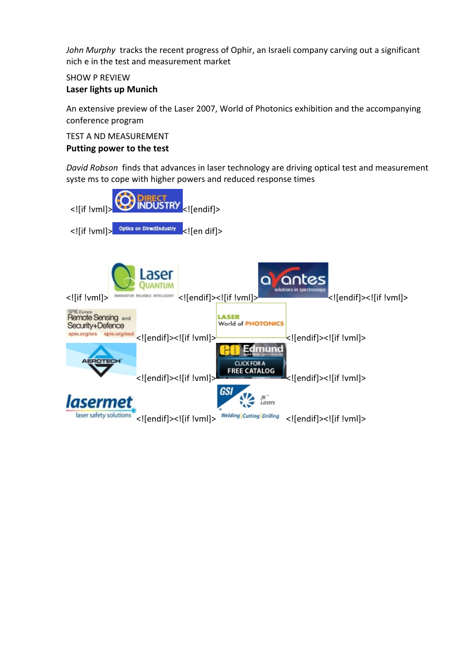*John Murphy* tracks the recent progress of Ophir, an Israeli company carving out a significant nich e in the test and measurement market

### SHOW P REVIEW

#### **Laser lights up Munich**

An extensive preview of the Laser 2007, World of Photonics exhibition and the accompanying conference program

#### TEST A ND MEASUREMENT **Putting power to the test**

*David Robson* finds that advances in laser technology are driving optical test and measurement syste ms to cope with higher powers and reduced response times